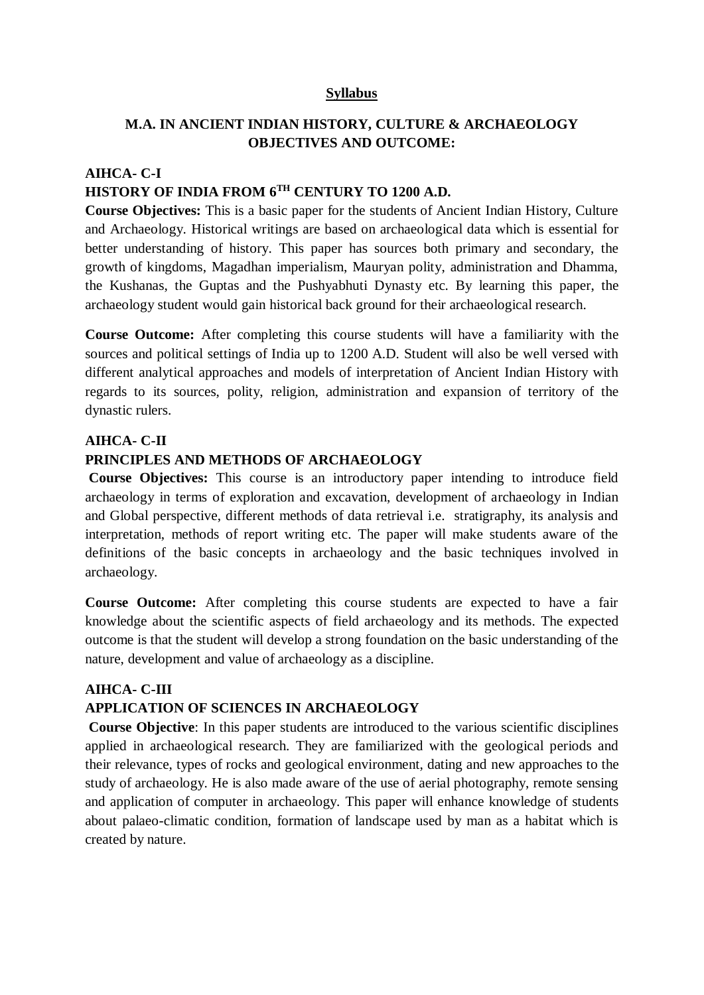#### **Syllabus**

## **M.A. IN ANCIENT INDIAN HISTORY, CULTURE & ARCHAEOLOGY OBJECTIVES AND OUTCOME:**

## **AIHCA- C-I HISTORY OF INDIA FROM 6TH CENTURY TO 1200 A.D.**

**Course Objectives:** This is a basic paper for the students of Ancient Indian History, Culture and Archaeology. Historical writings are based on archaeological data which is essential for better understanding of history. This paper has sources both primary and secondary, the growth of kingdoms, Magadhan imperialism, Mauryan polity, administration and Dhamma, the Kushanas, the Guptas and the Pushyabhuti Dynasty etc. By learning this paper, the archaeology student would gain historical back ground for their archaeological research.

**Course Outcome:** After completing this course students will have a familiarity with the sources and political settings of India up to 1200 A.D. Student will also be well versed with different analytical approaches and models of interpretation of Ancient Indian History with regards to its sources, polity, religion, administration and expansion of territory of the dynastic rulers.

#### **AIHCA- C-II**

### **PRINCIPLES AND METHODS OF ARCHAEOLOGY**

**Course Objectives:** This course is an introductory paper intending to introduce field archaeology in terms of exploration and excavation, development of archaeology in Indian and Global perspective, different methods of data retrieval i.e. stratigraphy, its analysis and interpretation, methods of report writing etc. The paper will make students aware of the definitions of the basic concepts in archaeology and the basic techniques involved in archaeology.

**Course Outcome:** After completing this course students are expected to have a fair knowledge about the scientific aspects of field archaeology and its methods. The expected outcome is that the student will develop a strong foundation on the basic understanding of the nature, development and value of archaeology as a discipline.

#### **AIHCA- C-III**

### **APPLICATION OF SCIENCES IN ARCHAEOLOGY**

**Course Objective**: In this paper students are introduced to the various scientific disciplines applied in archaeological research. They are familiarized with the geological periods and their relevance, types of rocks and geological environment, dating and new approaches to the study of archaeology. He is also made aware of the use of aerial photography, remote sensing and application of computer in archaeology. This paper will enhance knowledge of students about palaeo-climatic condition, formation of landscape used by man as a habitat which is created by nature.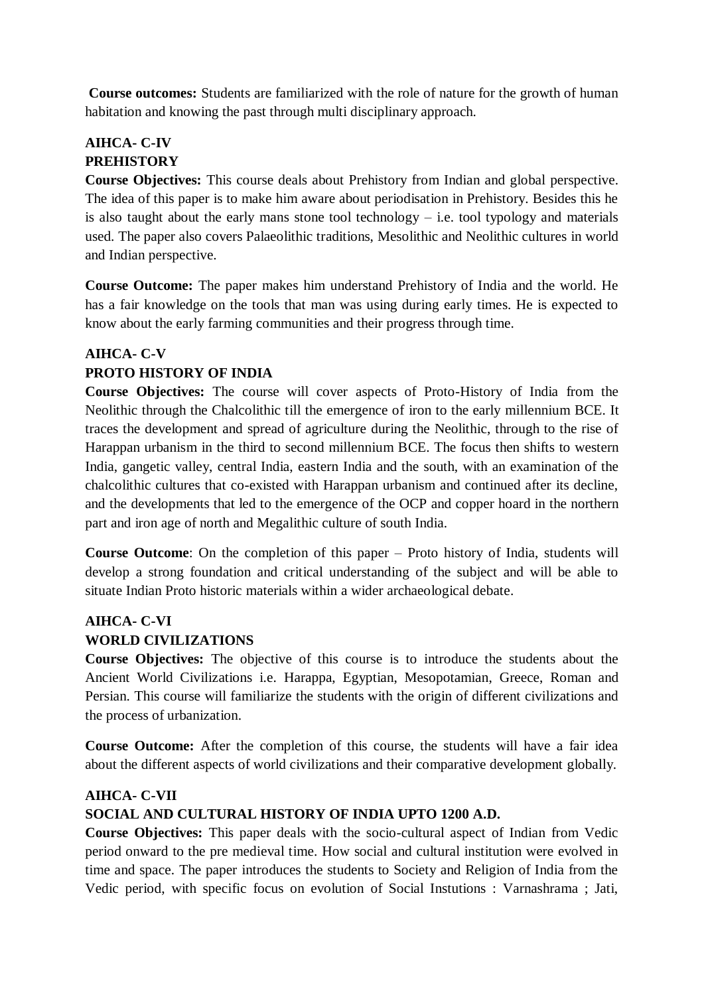**Course outcomes:** Students are familiarized with the role of nature for the growth of human habitation and knowing the past through multi disciplinary approach.

# **AIHCA- C-IV PREHISTORY**

**Course Objectives:** This course deals about Prehistory from Indian and global perspective. The idea of this paper is to make him aware about periodisation in Prehistory. Besides this he is also taught about the early mans stone tool technology  $-$  i.e. tool typology and materials used. The paper also covers Palaeolithic traditions, Mesolithic and Neolithic cultures in world and Indian perspective.

**Course Outcome:** The paper makes him understand Prehistory of India and the world. He has a fair knowledge on the tools that man was using during early times. He is expected to know about the early farming communities and their progress through time.

# **AIHCA- C-V**

## **PROTO HISTORY OF INDIA**

**Course Objectives:** The course will cover aspects of Proto-History of India from the Neolithic through the Chalcolithic till the emergence of iron to the early millennium BCE. It traces the development and spread of agriculture during the Neolithic, through to the rise of Harappan urbanism in the third to second millennium BCE. The focus then shifts to western India, gangetic valley, central India, eastern India and the south, with an examination of the chalcolithic cultures that co-existed with Harappan urbanism and continued after its decline, and the developments that led to the emergence of the OCP and copper hoard in the northern part and iron age of north and Megalithic culture of south India.

**Course Outcome**: On the completion of this paper – Proto history of India, students will develop a strong foundation and critical understanding of the subject and will be able to situate Indian Proto historic materials within a wider archaeological debate.

## **AIHCA- C-VI WORLD CIVILIZATIONS**

**Course Objectives:** The objective of this course is to introduce the students about the Ancient World Civilizations i.e. Harappa, Egyptian, Mesopotamian, Greece, Roman and Persian. This course will familiarize the students with the origin of different civilizations and the process of urbanization.

**Course Outcome:** After the completion of this course, the students will have a fair idea about the different aspects of world civilizations and their comparative development globally.

## **AIHCA- C-VII**

# **SOCIAL AND CULTURAL HISTORY OF INDIA UPTO 1200 A.D.**

**Course Objectives:** This paper deals with the socio-cultural aspect of Indian from Vedic period onward to the pre medieval time. How social and cultural institution were evolved in time and space. The paper introduces the students to Society and Religion of India from the Vedic period, with specific focus on evolution of Social Instutions : Varnashrama ; Jati,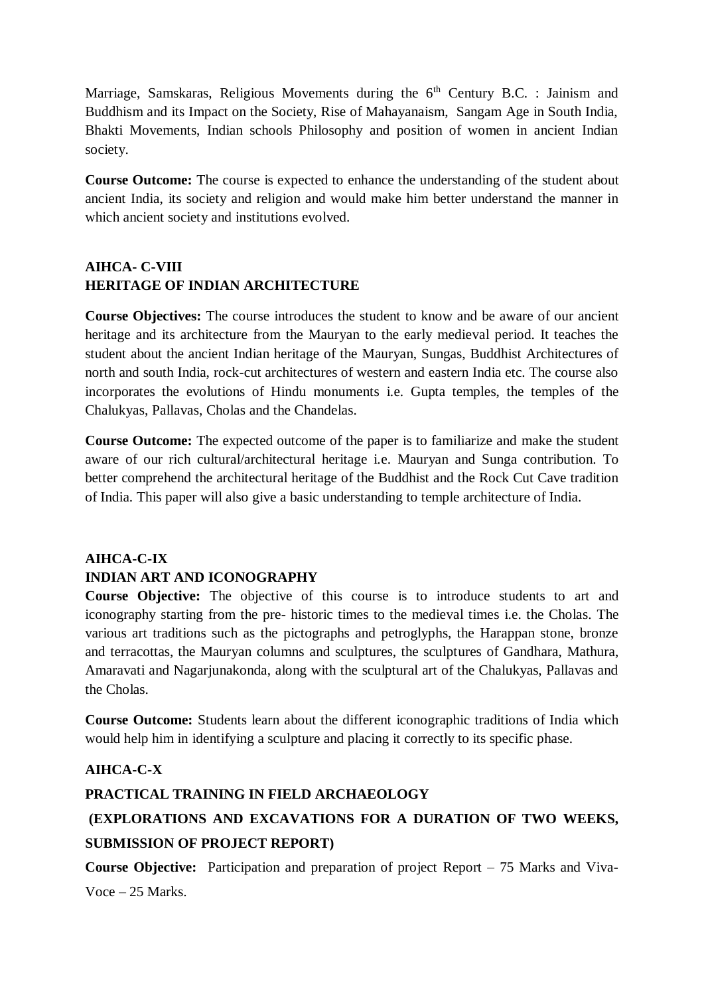Marriage, Samskaras, Religious Movements during the  $6<sup>th</sup>$  Century B.C. : Jainism and Buddhism and its Impact on the Society, Rise of Mahayanaism, Sangam Age in South India, Bhakti Movements, Indian schools Philosophy and position of women in ancient Indian society.

**Course Outcome:** The course is expected to enhance the understanding of the student about ancient India, its society and religion and would make him better understand the manner in which ancient society and institutions evolved.

# **AIHCA- C-VIII HERITAGE OF INDIAN ARCHITECTURE**

**Course Objectives:** The course introduces the student to know and be aware of our ancient heritage and its architecture from the Mauryan to the early medieval period. It teaches the student about the ancient Indian heritage of the Mauryan, Sungas, Buddhist Architectures of north and south India, rock-cut architectures of western and eastern India etc. The course also incorporates the evolutions of Hindu monuments i.e. Gupta temples, the temples of the Chalukyas, Pallavas, Cholas and the Chandelas.

**Course Outcome:** The expected outcome of the paper is to familiarize and make the student aware of our rich cultural/architectural heritage i.e. Mauryan and Sunga contribution. To better comprehend the architectural heritage of the Buddhist and the Rock Cut Cave tradition of India. This paper will also give a basic understanding to temple architecture of India.

# **AIHCA-C-IX INDIAN ART AND ICONOGRAPHY**

**Course Objective:** The objective of this course is to introduce students to art and iconography starting from the pre- historic times to the medieval times i.e. the Cholas. The various art traditions such as the pictographs and petroglyphs, the Harappan stone, bronze and terracottas, the Mauryan columns and sculptures, the sculptures of Gandhara, Mathura, Amaravati and Nagarjunakonda, along with the sculptural art of the Chalukyas, Pallavas and the Cholas.

**Course Outcome:** Students learn about the different iconographic traditions of India which would help him in identifying a sculpture and placing it correctly to its specific phase.

# **AIHCA-C-X**

## **PRACTICAL TRAINING IN FIELD ARCHAEOLOGY**

# **(EXPLORATIONS AND EXCAVATIONS FOR A DURATION OF TWO WEEKS, SUBMISSION OF PROJECT REPORT)**

**Course Objective:** Participation and preparation of project Report – 75 Marks and Viva-Voce – 25 Marks.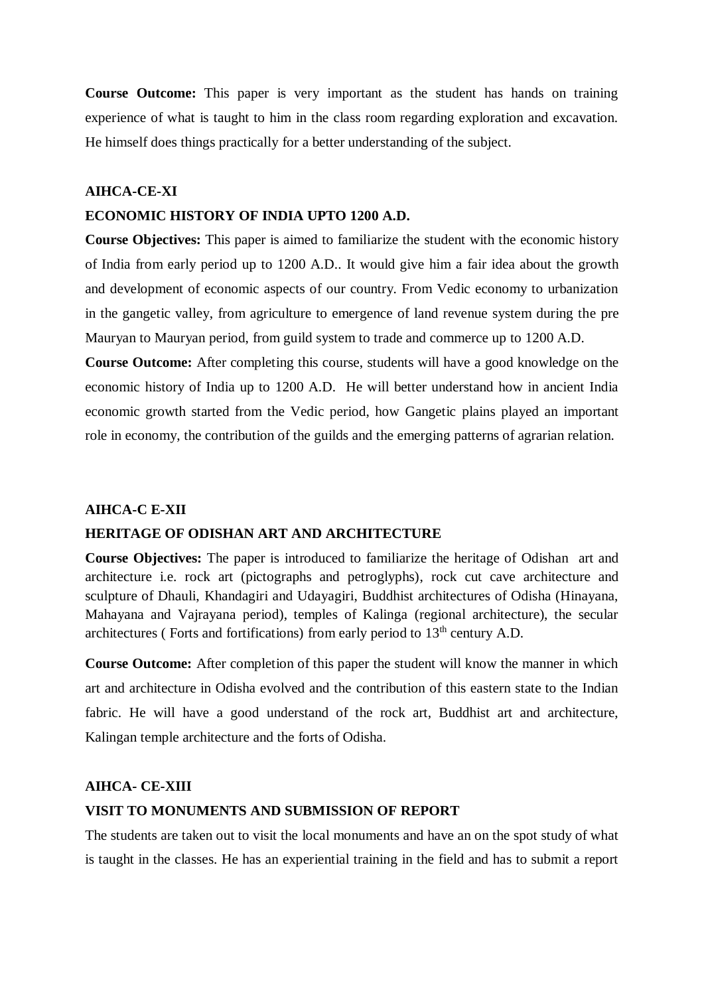**Course Outcome:** This paper is very important as the student has hands on training experience of what is taught to him in the class room regarding exploration and excavation. He himself does things practically for a better understanding of the subject.

## **AIHCA-CE-XI**

#### **ECONOMIC HISTORY OF INDIA UPTO 1200 A.D.**

**Course Objectives:** This paper is aimed to familiarize the student with the economic history of India from early period up to 1200 A.D.. It would give him a fair idea about the growth and development of economic aspects of our country. From Vedic economy to urbanization in the gangetic valley, from agriculture to emergence of land revenue system during the pre Mauryan to Mauryan period, from guild system to trade and commerce up to 1200 A.D.

**Course Outcome:** After completing this course, students will have a good knowledge on the economic history of India up to 1200 A.D. He will better understand how in ancient India economic growth started from the Vedic period, how Gangetic plains played an important role in economy, the contribution of the guilds and the emerging patterns of agrarian relation.

#### **AIHCA-C E-XII**

#### **HERITAGE OF ODISHAN ART AND ARCHITECTURE**

**Course Objectives:** The paper is introduced to familiarize the heritage of Odishan art and architecture i.e. rock art (pictographs and petroglyphs), rock cut cave architecture and sculpture of Dhauli, Khandagiri and Udayagiri, Buddhist architectures of Odisha (Hinayana, Mahayana and Vajrayana period), temples of Kalinga (regional architecture), the secular architectures (Forts and fortifications) from early period to  $13<sup>th</sup>$  century A.D.

**Course Outcome:** After completion of this paper the student will know the manner in which art and architecture in Odisha evolved and the contribution of this eastern state to the Indian fabric. He will have a good understand of the rock art, Buddhist art and architecture, Kalingan temple architecture and the forts of Odisha.

#### **AIHCA- CE-XIII**

#### **VISIT TO MONUMENTS AND SUBMISSION OF REPORT**

The students are taken out to visit the local monuments and have an on the spot study of what is taught in the classes. He has an experiential training in the field and has to submit a report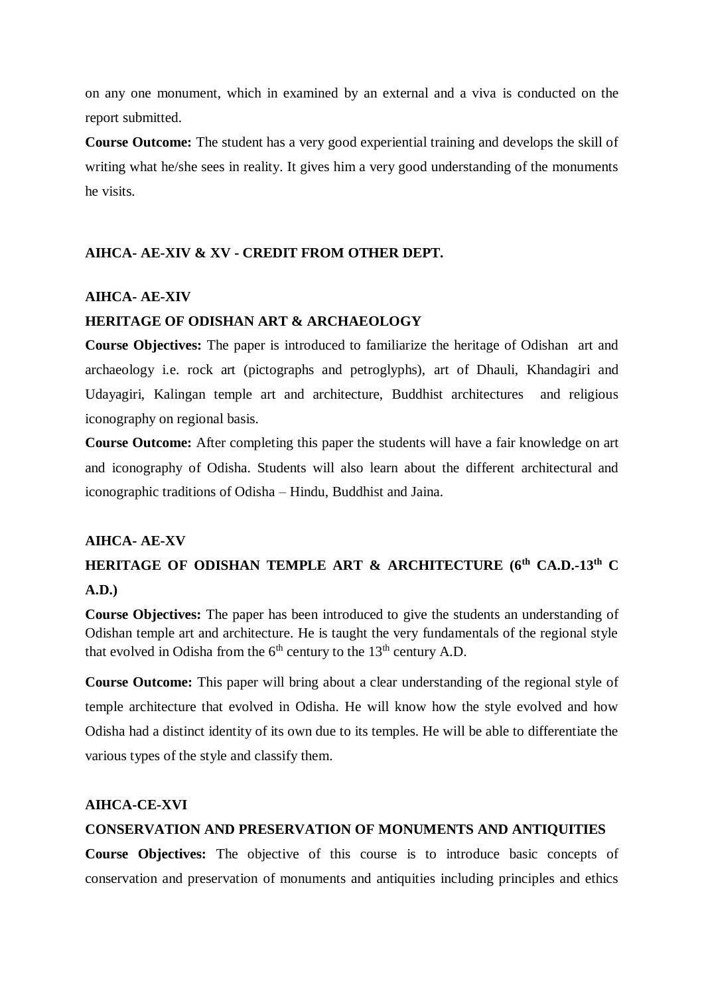on any one monument, which in examined by an external and a viva is conducted on the report submitted.

**Course Outcome:** The student has a very good experiential training and develops the skill of writing what he/she sees in reality. It gives him a very good understanding of the monuments he visits.

## **AIHCA- AE-XIV & XV - CREDIT FROM OTHER DEPT.**

## **AIHCA- AE-XIV**

## **HERITAGE OF ODISHAN ART & ARCHAEOLOGY**

**Course Objectives:** The paper is introduced to familiarize the heritage of Odishan art and archaeology i.e. rock art (pictographs and petroglyphs), art of Dhauli, Khandagiri and Udayagiri, Kalingan temple art and architecture, Buddhist architectures and religious iconography on regional basis.

**Course Outcome:** After completing this paper the students will have a fair knowledge on art and iconography of Odisha. Students will also learn about the different architectural and iconographic traditions of Odisha – Hindu, Buddhist and Jaina.

#### **AIHCA- AE-XV**

# **HERITAGE OF ODISHAN TEMPLE ART & ARCHITECTURE (6th CA.D.-13th C A.D.)**

**Course Objectives:** The paper has been introduced to give the students an understanding of Odishan temple art and architecture. He is taught the very fundamentals of the regional style that evolved in Odisha from the  $6<sup>th</sup>$  century to the 13<sup>th</sup> century A.D.

**Course Outcome:** This paper will bring about a clear understanding of the regional style of temple architecture that evolved in Odisha. He will know how the style evolved and how Odisha had a distinct identity of its own due to its temples. He will be able to differentiate the various types of the style and classify them.

### **AIHCA-CE-XVI**

### **CONSERVATION AND PRESERVATION OF MONUMENTS AND ANTIQUITIES**

**Course Objectives:** The objective of this course is to introduce basic concepts of conservation and preservation of monuments and antiquities including principles and ethics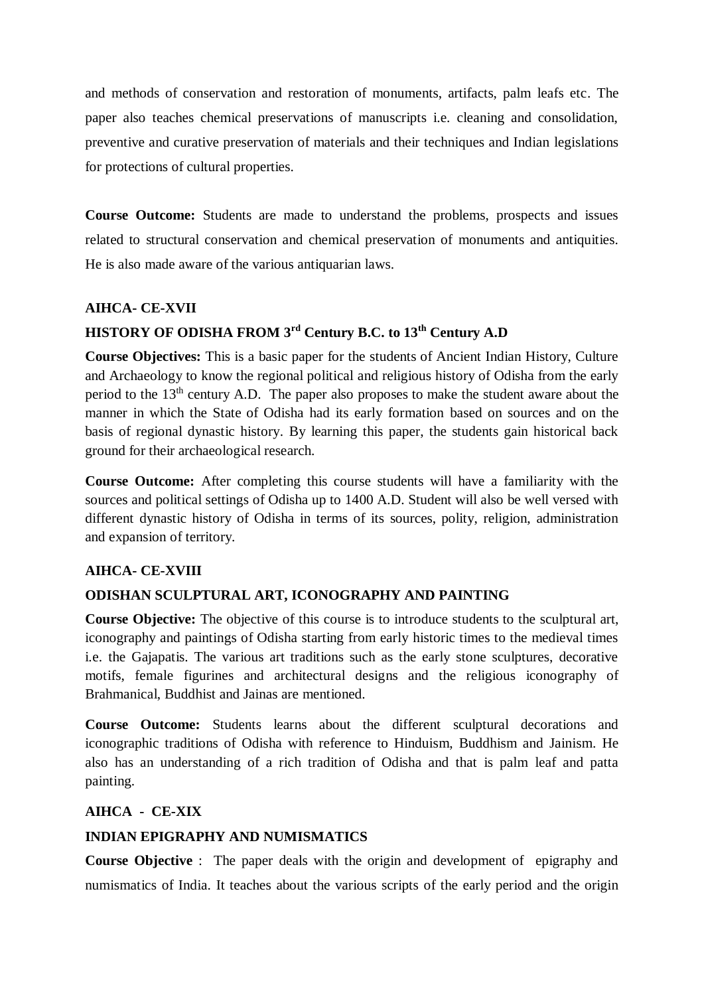and methods of conservation and restoration of monuments, artifacts, palm leafs etc. The paper also teaches chemical preservations of manuscripts i.e. cleaning and consolidation, preventive and curative preservation of materials and their techniques and Indian legislations for protections of cultural properties.

**Course Outcome:** Students are made to understand the problems, prospects and issues related to structural conservation and chemical preservation of monuments and antiquities. He is also made aware of the various antiquarian laws.

## **AIHCA- CE-XVII**

# **HISTORY OF ODISHA FROM 3rd Century B.C. to 13th Century A.D**

**Course Objectives:** This is a basic paper for the students of Ancient Indian History, Culture and Archaeology to know the regional political and religious history of Odisha from the early period to the  $13<sup>th</sup>$  century A.D. The paper also proposes to make the student aware about the manner in which the State of Odisha had its early formation based on sources and on the basis of regional dynastic history. By learning this paper, the students gain historical back ground for their archaeological research.

**Course Outcome:** After completing this course students will have a familiarity with the sources and political settings of Odisha up to 1400 A.D. Student will also be well versed with different dynastic history of Odisha in terms of its sources, polity, religion, administration and expansion of territory.

## **AIHCA- CE-XVIII**

## **ODISHAN SCULPTURAL ART, ICONOGRAPHY AND PAINTING**

**Course Objective:** The objective of this course is to introduce students to the sculptural art, iconography and paintings of Odisha starting from early historic times to the medieval times i.e. the Gajapatis. The various art traditions such as the early stone sculptures, decorative motifs, female figurines and architectural designs and the religious iconography of Brahmanical, Buddhist and Jainas are mentioned.

**Course Outcome:** Students learns about the different sculptural decorations and iconographic traditions of Odisha with reference to Hinduism, Buddhism and Jainism. He also has an understanding of a rich tradition of Odisha and that is palm leaf and patta painting.

## **AIHCA - CE-XIX**

## **INDIAN EPIGRAPHY AND NUMISMATICS**

**Course Objective** : The paper deals with the origin and development of epigraphy and numismatics of India. It teaches about the various scripts of the early period and the origin